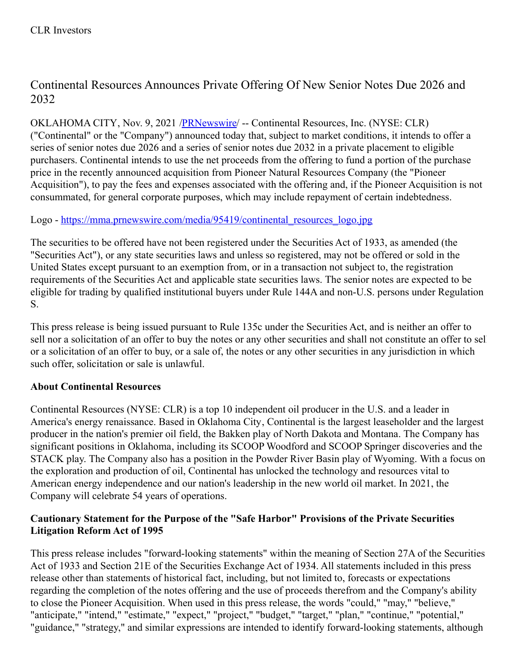# Continental Resources Announces Private Offering Of New Senior Notes Due 2026 and 2032

OKLAHOMA CITY, Nov. 9, 2021 [/PRNewswire](http://www.prnewswire.com/)/ -- Continental Resources, Inc. (NYSE: CLR) ("Continental" or the "Company") announced today that, subject to market conditions, it intends to offer a series of senior notes due 2026 and a series of senior notes due 2032 in a private placement to eligible purchasers. Continental intends to use the net proceeds from the offering to fund a portion of the purchase price in the recently announced acquisition from Pioneer Natural Resources Company (the "Pioneer Acquisition"), to pay the fees and expenses associated with the offering and, if the Pioneer Acquisition is not consummated, for general corporate purposes, which may include repayment of certain indebtedness.

## Logo - [https://mma.prnewswire.com/media/95419/continental\\_resources\\_logo.jpg](https://c212.net/c/link/?t=0&l=en&o=3351748-1&h=780500634&u=https%3A%2F%2Fmma.prnewswire.com%2Fmedia%2F95419%2Fcontinental_resources_logo.jpg&a=https%3A%2F%2Fmma.prnewswire.com%2Fmedia%2F95419%2Fcontinental_resources_logo.jpg)

The securities to be offered have not been registered under the Securities Act of 1933, as amended (the "Securities Act"), or any state securities laws and unless so registered, may not be offered or sold in the United States except pursuant to an exemption from, or in a transaction not subject to, the registration requirements of the Securities Act and applicable state securities laws. The senior notes are expected to be eligible for trading by qualified institutional buyers under Rule 144A and non-U.S. persons under Regulation S.

This press release is being issued pursuant to Rule 135c under the Securities Act, and is neither an offer to sell nor a solicitation of an offer to buy the notes or any other securities and shall not constitute an offer to sell or a solicitation of an offer to buy, or a sale of, the notes or any other securities in any jurisdiction in which such offer, solicitation or sale is unlawful.

## **About Continental Resources**

Continental Resources (NYSE: CLR) is a top 10 independent oil producer in the U.S. and a leader in America's energy renaissance. Based in Oklahoma City, Continental is the largest leaseholder and the largest producer in the nation's premier oil field, the Bakken play of North Dakota and Montana. The Company has significant positions in Oklahoma, including its SCOOP Woodford and SCOOP Springer discoveries and the STACK play. The Company also has a position in the Powder River Basin play of Wyoming. With a focus on the exploration and production of oil, Continental has unlocked the technology and resources vital to American energy independence and our nation's leadership in the new world oil market. In 2021, the Company will celebrate 54 years of operations.

#### **Cautionary Statement for the Purpose of the "Safe Harbor" Provisions of the Private Securities Litigation Reform Act of 1995**

This press release includes "forward-looking statements" within the meaning of Section 27A of the Securities Act of 1933 and Section 21E of the Securities Exchange Act of 1934. All statements included in this press release other than statements of historical fact, including, but not limited to, forecasts or expectations regarding the completion of the notes offering and the use of proceeds therefrom and the Company's ability to close the Pioneer Acquisition. When used in this press release, the words "could," "may," "believe," "anticipate," "intend," "estimate," "expect," "project," "budget," "target," "plan," "continue," "potential," "guidance," "strategy," and similar expressions are intended to identify forward-looking statements, although